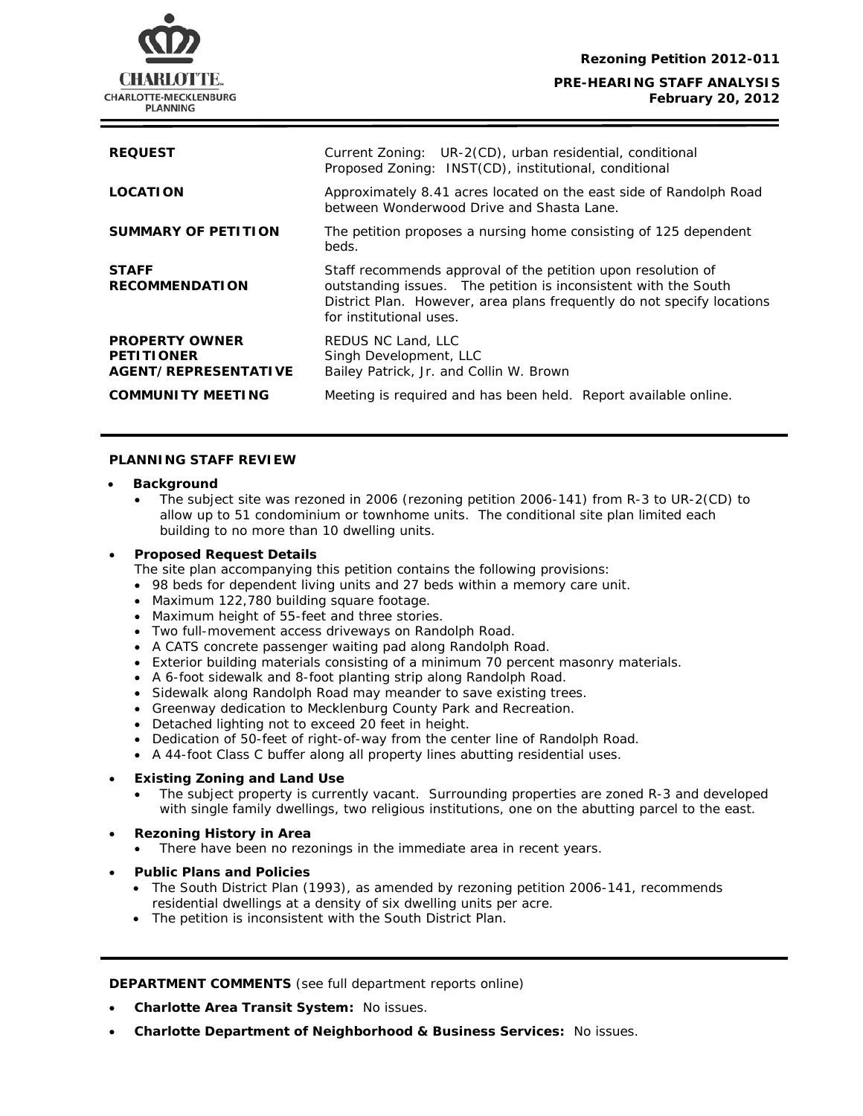

| <b>REQUEST</b>                                                     | Current Zoning: UR-2(CD), urban residential, conditional<br>Proposed Zoning: INST(CD), institutional, conditional                                                                                                                    |
|--------------------------------------------------------------------|--------------------------------------------------------------------------------------------------------------------------------------------------------------------------------------------------------------------------------------|
| <b>LOCATION</b>                                                    | Approximately 8.41 acres located on the east side of Randolph Road<br>between Wonderwood Drive and Shasta Lane.                                                                                                                      |
| <b>SUMMARY OF PETITION</b>                                         | The petition proposes a nursing home consisting of 125 dependent<br>beds.                                                                                                                                                            |
| <b>STAFF</b><br><b>RECOMMENDATION</b>                              | Staff recommends approval of the petition upon resolution of<br>outstanding issues. The petition is inconsistent with the South<br>District Plan. However, area plans frequently do not specify locations<br>for institutional uses. |
| <b>PROPERTY OWNER</b><br><b>PETITIONER</b><br>AGENT/REPRESENTATIVE | REDUS NC Land, LLC<br>Singh Development, LLC<br>Bailey Patrick, Jr. and Collin W. Brown                                                                                                                                              |
| <b>COMMUNITY MEETING</b>                                           | Meeting is required and has been held. Report available online.                                                                                                                                                                      |

## **PLANNING STAFF REVIEW**

### • **Background**

• The subject site was rezoned in 2006 (rezoning petition 2006-141) from R-3 to UR-2(CD) to allow up to 51 condominium or townhome units. The conditional site plan limited each building to no more than 10 dwelling units.

#### • **Proposed Request Details**

The site plan accompanying this petition contains the following provisions:

- 98 beds for dependent living units and 27 beds within a memory care unit.
- Maximum 122,780 building square footage.
- Maximum height of 55-feet and three stories.
- Two full-movement access driveways on Randolph Road.
- A CATS concrete passenger waiting pad along Randolph Road.
- Exterior building materials consisting of a minimum 70 percent masonry materials.
- . A 6-foot sidewalk and 8-foot planting strip along Randolph Road
- Sidewalk along Randolph Road may meander to save existing trees.
- Greenway dedication to Mecklenburg County Park and Recreation.
- Detached lighting not to exceed 20 feet in height.
- Dedication of 50-feet of right-of-way from the center line of Randolph Road.
- A 44-foot Class C buffer along all property lines abutting residential uses.

# • **Existing Zoning and Land Use**

• The subject property is currently vacant. Surrounding properties are zoned R-3 and developed with single family dwellings, two religious institutions, one on the abutting parcel to the east.

### • **Rezoning History in Area**

- There have been no rezonings in the immediate area in recent years.
- **Public Plans and Policies** 
	- The *South District Plan* (1993), as amended by rezoning petition 2006-141, recommends residential dwellings at a density of six dwelling units per acre.
	- The petition is inconsistent with the *South District Plan*.

**DEPARTMENT COMMENTS** (see full department reports online)

- **Charlotte Area Transit System:** No issues.
- **Charlotte Department of Neighborhood & Business Services:** No issues.